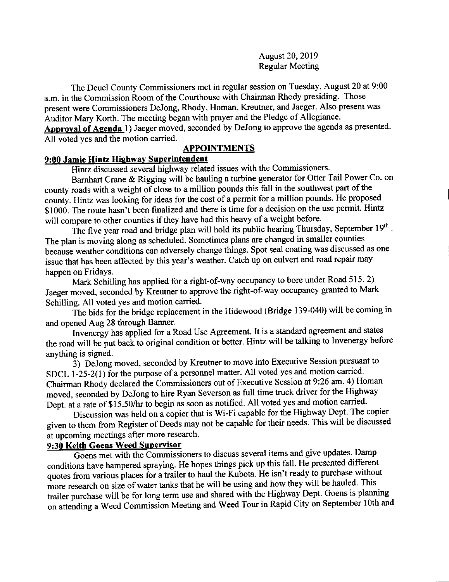August 20,2019 Regular Meeting

The Deuel County Commissioners met in regular session on Tuesday, August 20 at 9:00 a.m. in the Commission Room of the Courthouse with Chairman Rhody presiding. Those present were Commissioners DeJong, Rhody, Homan, Kreutner, and Jaeger. Also present was Auditor Mary Korth. The meeting began with prayer and the Pledge of Allegiance. Approval of Agenda 1) Jaeger moved, seconded by DeJong to approve the agenda as presented. All voted yes and the motion carried.

#### APPOINTMENTS

#### 9:00 Jamie Hintz Hiqhwav Suoerintendent

Hintz discussed several highway related issues with the Commissioners.

Bamhart Crane & Rigging will be hauling a turbine generator for Otter Tail Power Co- on county roads with a weight of close to a million pounds this fall in the southwest part of the county. Hintz was looking for ideas for the cost of a permit for a million pounds' He proposed \$1000. The route hasn't been finalized and there is time for a decision on the use permit. Hintz will compare to other counties if they have had this heavy of a weight before.

The five year road and bridge plan will hold its public hearing Thursday, September 19th. The plan is moving along as scheduled. Sometimes plans are changed in smaller counties because weather conditions can adversely change things. Spot seal coating was discussed as one issue that has been affected by this year's weather. catch up on culvert and road repair may happen on Fridays.

Mark Schilling has applied for a right-of-way occupancy to bore under Road 515. 2) I was belingthed for a right-of-way occupancy granted to Mark Schilling. All voted yes and motion carried.

The bids for the bridge replacement in the Hidewood (Bridge 139-040) will be coming in and opened Aug 28 through Banner.

Invenergy has applied for a Road Use Agreement. It is a standard agreement and states the road will be put bact to original condition or better. Hintz will be talking to Invenergy before anything is signed.

5; DeJong moved, seconded by Kreutner to move into Executive Session pursuant to SDCL 1-25-2(1) for the purpose of a personnel matter. All voted yes and motion carried. Chairman Rhody declared the Commissioners out of Executive Session at 9:26 am. 4) Homan moved, seconded by DeJong to hire Ryan Severson as full tirne truck driver for the Highway Dept. at a rate of \$15.50/hr to begin as soon as notified. All voted yes and motion carried.

Discussion was held on a copier that is Wi-Fi capable for the Highway Dept. The copier given to them from Register of Deeds may not be capable for their needs. This will be discussed at upcoming meetings after more research.

## 9:30 Keith Goens Weed Supervisor

Goens met with the Commissioners to discuss several items and give updates. Damp conditions have hampered spraying. He hopes things pick up this fall. He presented different quotes from various places for a trailer to haul the Kubota. He isn't ready to purchase without more research on size of water tanks that he will be using and how they will be hauled. This trailer purchase will be for long term use and shared with the Highway Dept. Goens is planning on attending a Weed Commission Meeting and Weed Tour in Rapid City on September 10th and